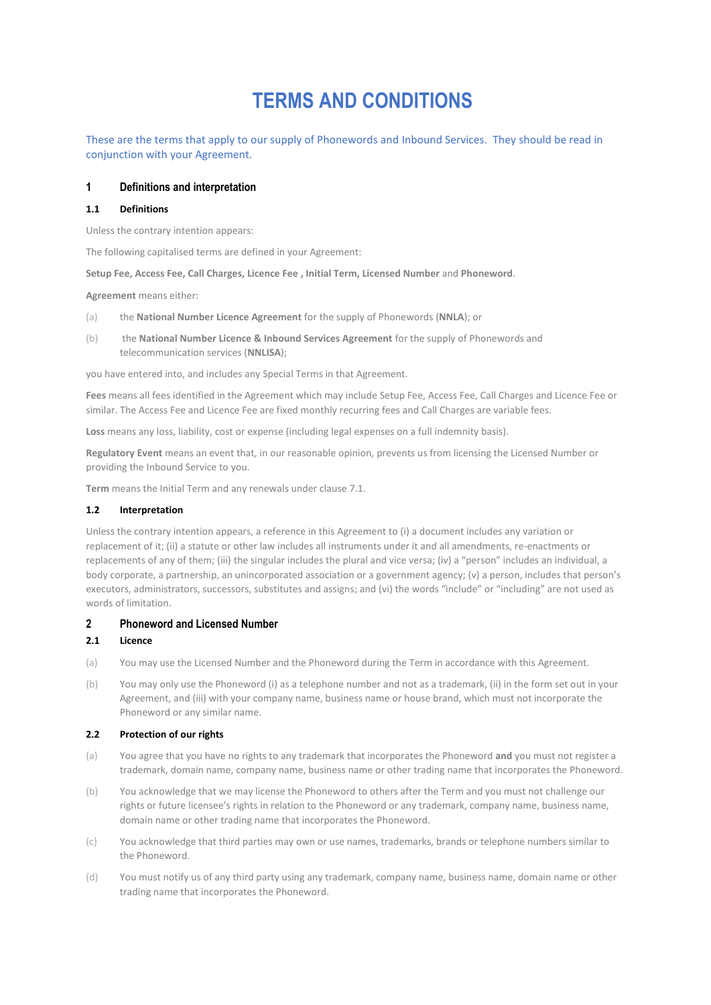# **TERMS AND CONDITIONS**

These are the terms that apply to our supply of Phonewords and Inbound Services. They should be read in conjunction with your Agreement.

## **1 Definitions and interpretation**

#### **1.1 Definitions**

Unless the contrary intention appears:

The following capitalised terms are defined in your Agreement:

**Setup Fee, Access Fee, Call Charges, Licence Fee , Initial Term, Licensed Number** and **Phoneword**.

**Agreement** means either:

- (a) the **National Number Licence Agreement** for the supply of Phonewords (**NNLA**); or
- (b) the **National Number Licence & Inbound Services Agreement** for the supply of Phonewords and telecommunication services (**NNLISA**);

you have entered into, and includes any Special Terms in that Agreement.

**Fees** means all fees identified in the Agreement which may include Setup Fee, Access Fee, Call Charges and Licence Fee or similar. The Access Fee and Licence Fee are fixed monthly recurring fees and Call Charges are variable fees.

**Loss** means any loss, liability, cost or expense (including legal expenses on a full indemnity basis).

**Regulatory Event** means an event that, in our reasonable opinion, prevents us from licensing the Licensed Number or providing the Inbound Service to you.

**Term** means the Initial Term and any renewals under clause 7.1.

#### **1.2 Interpretation**

Unless the contrary intention appears, a reference in this Agreement to (i) a document includes any variation or replacement of it; (ii) a statute or other law includes all instruments under it and all amendments, re-enactments or replacements of any of them; (iii) the singular includes the plural and vice versa; (iv) a "person" includes an individual, a body corporate, a partnership, an unincorporated association or a government agency; (v) a person, includes that person's executors, administrators, successors, substitutes and assigns; and (vi) the words "include" or "including" are not used as words of limitation.

## **2 Phoneword and Licensed Number**

#### **2.1 Licence**

- (a) You may use the Licensed Number and the Phoneword during the Term in accordance with this Agreement.
- (b) You may only use the Phoneword (i) as a telephone number and not as a trademark, (ii) in the form set out in your Agreement, and (iii) with your company name, business name or house brand, which must not incorporate the Phoneword or any similar name.

#### **2.2 Protection of our rights**

- (a) You agree that you have no rights to any trademark that incorporates the Phoneword **and** you must not register a trademark, domain name, company name, business name or other trading name that incorporates the Phoneword.
- (b) You acknowledge that we may license the Phoneword to others after the Term and you must not challenge our rights or future licensee's rights in relation to the Phoneword or any trademark, company name, business name, domain name or other trading name that incorporates the Phoneword.
- (c) You acknowledge that third parties may own or use names, trademarks, brands or telephone numbers similar to the Phoneword.
- (d) You must notify us of any third party using any trademark, company name, business name, domain name or other trading name that incorporates the Phoneword.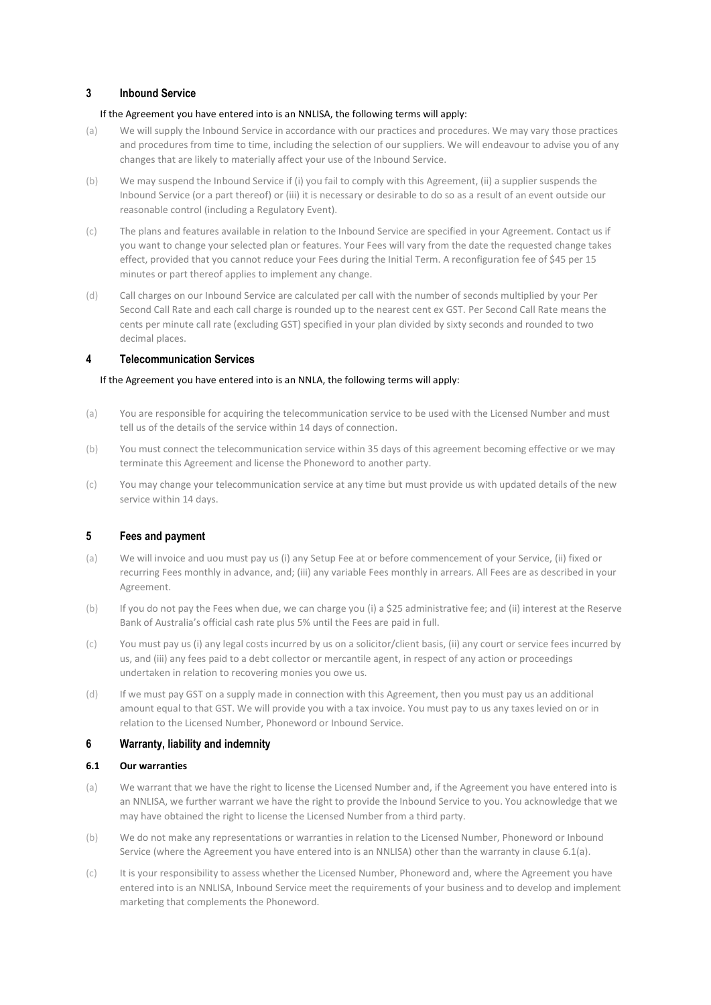# **3 Inbound Service**

## If the Agreement you have entered into is an NNLISA, the following terms will apply:

- (a) We will supply the Inbound Service in accordance with our practices and procedures. We may vary those practices and procedures from time to time, including the selection of our suppliers. We will endeavour to advise you of any changes that are likely to materially affect your use of the Inbound Service.
- (b) We may suspend the Inbound Service if (i) you fail to comply with this Agreement, (ii) a supplier suspends the Inbound Service (or a part thereof) or (iii) it is necessary or desirable to do so as a result of an event outside our reasonable control (including a Regulatory Event).
- (c) The plans and features available in relation to the Inbound Service are specified in your Agreement. Contact us if you want to change your selected plan or features. Your Fees will vary from the date the requested change takes effect, provided that you cannot reduce your Fees during the Initial Term. A reconfiguration fee of \$45 per 15 minutes or part thereof applies to implement any change.
- (d) Call charges on our Inbound Service are calculated per call with the number of seconds multiplied by your Per Second Call Rate and each call charge is rounded up to the nearest cent ex GST. Per Second Call Rate means the cents per minute call rate (excluding GST) specified in your plan divided by sixty seconds and rounded to two decimal places.

# **4 Telecommunication Services**

## If the Agreement you have entered into is an NNLA, the following terms will apply:

- (a) You are responsible for acquiring the telecommunication service to be used with the Licensed Number and must tell us of the details of the service within 14 days of connection.
- (b) You must connect the telecommunication service within 35 days of this agreement becoming effective or we may terminate this Agreement and license the Phoneword to another party.
- (c) You may change your telecommunication service at any time but must provide us with updated details of the new service within 14 days.

## **5 Fees and payment**

- (a) We will invoice and uou must pay us (i) any Setup Fee at or before commencement of your Service, (ii) fixed or recurring Fees monthly in advance, and; (iii) any variable Fees monthly in arrears. All Fees are as described in your Agreement.
- (b) If you do not pay the Fees when due, we can charge you (i) a \$25 administrative fee; and (ii) interest at the Reserve Bank of Australia's official cash rate plus 5% until the Fees are paid in full.
- (c) You must pay us (i) any legal costs incurred by us on a solicitor/client basis, (ii) any court or service fees incurred by us, and (iii) any fees paid to a debt collector or mercantile agent, in respect of any action or proceedings undertaken in relation to recovering monies you owe us.
- (d) If we must pay GST on a supply made in connection with this Agreement, then you must pay us an additional amount equal to that GST. We will provide you with a tax invoice. You must pay to us any taxes levied on or in relation to the Licensed Number, Phoneword or Inbound Service.

## **6 Warranty, liability and indemnity**

## **6.1 Our warranties**

- (a) We warrant that we have the right to license the Licensed Number and, if the Agreement you have entered into is an NNLISA, we further warrant we have the right to provide the Inbound Service to you. You acknowledge that we may have obtained the right to license the Licensed Number from a third party.
- (b) We do not make any representations or warranties in relation to the Licensed Number, Phoneword or Inbound Service (where the Agreement you have entered into is an NNLISA) other than the warranty in clause 6.1(a).
- (c) It is your responsibility to assess whether the Licensed Number, Phoneword and, where the Agreement you have entered into is an NNLISA, Inbound Service meet the requirements of your business and to develop and implement marketing that complements the Phoneword.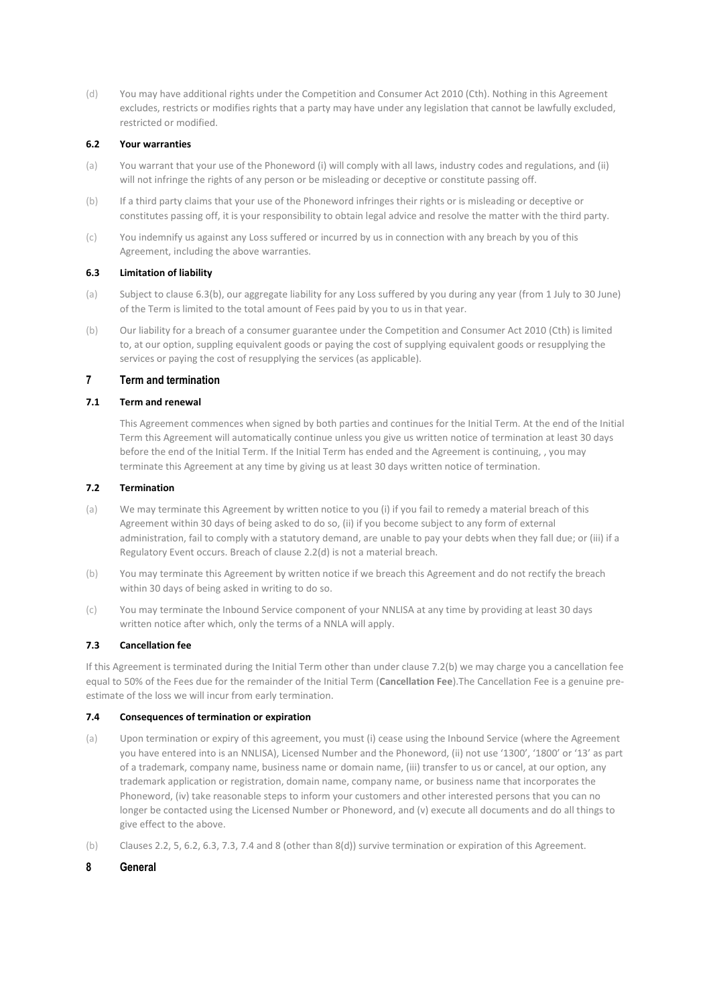(d) You may have additional rights under the Competition and Consumer Act 2010 (Cth). Nothing in this Agreement excludes, restricts or modifies rights that a party may have under any legislation that cannot be lawfully excluded, restricted or modified.

## **6.2 Your warranties**

- (a) You warrant that your use of the Phoneword (i) will comply with all laws, industry codes and regulations, and (ii) will not infringe the rights of any person or be misleading or deceptive or constitute passing off.
- (b) If a third party claims that your use of the Phoneword infringes their rights or is misleading or deceptive or constitutes passing off, it is your responsibility to obtain legal advice and resolve the matter with the third party.
- (c) You indemnify us against any Loss suffered or incurred by us in connection with any breach by you of this Agreement, including the above warranties.

#### **6.3 Limitation of liability**

- (a) Subject to clause 6.3(b), our aggregate liability for any Loss suffered by you during any year (from 1 July to 30 June) of the Term is limited to the total amount of Fees paid by you to us in that year.
- (b) Our liability for a breach of a consumer guarantee under the Competition and Consumer Act 2010 (Cth) is limited to, at our option, suppling equivalent goods or paying the cost of supplying equivalent goods or resupplying the services or paying the cost of resupplying the services (as applicable).

# **7 Term and termination**

## **7.1 Term and renewal**

This Agreement commences when signed by both parties and continues for the Initial Term. At the end of the Initial Term this Agreement will automatically continue unless you give us written notice of termination at least 30 days before the end of the Initial Term. If the Initial Term has ended and the Agreement is continuing, , you may terminate this Agreement at any time by giving us at least 30 days written notice of termination.

#### **7.2 Termination**

- (a) We may terminate this Agreement by written notice to you (i) if you fail to remedy a material breach of this Agreement within 30 days of being asked to do so, (ii) if you become subject to any form of external administration, fail to comply with a statutory demand, are unable to pay your debts when they fall due; or (iii) if a Regulatory Event occurs. Breach of clause 2.2(d) is not a material breach.
- (b) You may terminate this Agreement by written notice if we breach this Agreement and do not rectify the breach within 30 days of being asked in writing to do so.
- (c) You may terminate the Inbound Service component of your NNLISA at any time by providing at least 30 days written notice after which, only the terms of a NNLA will apply.

#### **7.3 Cancellation fee**

If this Agreement is terminated during the Initial Term other than under clause 7.2(b) we may charge you a cancellation fee equal to 50% of the Fees due for the remainder of the Initial Term (**Cancellation Fee**).The Cancellation Fee is a genuine preestimate of the loss we will incur from early termination.

#### **7.4 Consequences of termination or expiration**

- (a) Upon termination or expiry of this agreement, you must (i) cease using the Inbound Service (where the Agreement you have entered into is an NNLISA), Licensed Number and the Phoneword, (ii) not use '1300', '1800' or '13' as part of a trademark, company name, business name or domain name, (iii) transfer to us or cancel, at our option, any trademark application or registration, domain name, company name, or business name that incorporates the Phoneword, (iv) take reasonable steps to inform your customers and other interested persons that you can no longer be contacted using the Licensed Number or Phoneword, and (v) execute all documents and do all things to give effect to the above.
- (b) Clauses 2.2, 5, 6.2, 6.3, 7.3, 7.4 and 8 (other than 8(d)) survive termination or expiration of this Agreement.

## **8 General**